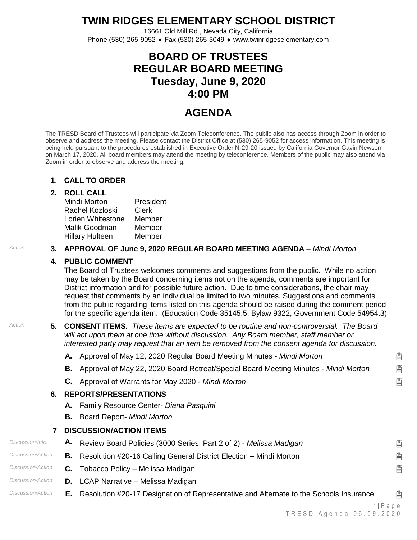**TWIN RIDGES ELEMENTARY SCHOOL DISTRICT**

16661 Old Mill Rd., Nevada City, California Phone (530) 265-9052 Fax (530) 265-3049 www.twinridgeselementary.com

# **BOARD OF TRUSTEES REGULAR BOARD MEETING Tuesday, June 9, 2020 4:00 PM**

# **AGENDA**

The TRESD Board of Trustees will participate via Zoom Teleconference. The public also has access through Zoom in order to observe and address the meeting. Please contact the District Office at (530) 265-9052 for access information. This meeting is being held pursuant to the procedures established in Executive Order N-29-20 issued by California Governor Gavin Newsom on March 17, 2020. All board members may attend the meeting by teleconference. Members of the public may also attend via Zoom in order to observe and address the meeting.

#### **1**. **CALL TO ORDER**

#### **2. ROLL CALL**

| Mindi Morton      | President |
|-------------------|-----------|
| Rachel Kozloski   | Clerk     |
| Lorien Whitestone | Member    |
| Malik Goodman     | Member    |
| Hillary Hulteen   | Member    |

#### *Action* **3. APPROVAL OF June 9, 2020 REGULAR BOARD MEETING AGENDA –** *Mindi Morton*

## **4. PUBLIC COMMENT**

The Board of Trustees welcomes comments and suggestions from the public. While no action may be taken by the Board concerning items not on the agenda, comments are important for District information and for possible future action. Due to time considerations, the chair may request that comments by an individual be limited to two minutes. Suggestions and comments from the public regarding items listed on this agenda should be raised during the comment period for the specific agenda item. (Education Code 35145.5; Bylaw 9322, Government Code 54954.3)

*Action* **5. CONSENT ITEMS.** *These items are expected to be routine and non-controversial. The Board will act upon them at one time without discussion. Any Board member, staff member or interested party may request that an item be removed from the consent agenda for discussion.*

**A.** Approval of May 12, 2020 Regular Board Meeting Minutes - *Mindi Morton*

- **B.** Approval of May 22, 2020 Board Retreat/Special Board Meeting Minutes *Mindi Morton*
- **C.** Approval of Warrants for May 2020 *Mindi Morton*

### **6. REPORTS/PRESENTATIONS**

- **A.** Family Resource Center- *Diana Pasquini*
- **B.** Board Report- *Mindi Morton*

### **7 DISCUSSION/ACTION ITEMS**

| Discussion/Info.  |    | A. Review Board Policies (3000 Series, Part 2 of 2) - Melissa Madigan                  | 阊 |
|-------------------|----|----------------------------------------------------------------------------------------|---|
| Discussion/Action |    | <b>B.</b> Resolution #20-16 Calling General District Election – Mindi Morton           | 阊 |
| Discussion/Action |    | C. Tobacco Policy – Melissa Madigan                                                    | 阊 |
| Discussion/Action |    | <b>D.</b> LCAP Narrative – Melissa Madigan                                             |   |
| Discussion/Action | Е. | Resolution #20-17 Designation of Representative and Alternate to the Schools Insurance | 阊 |

阊